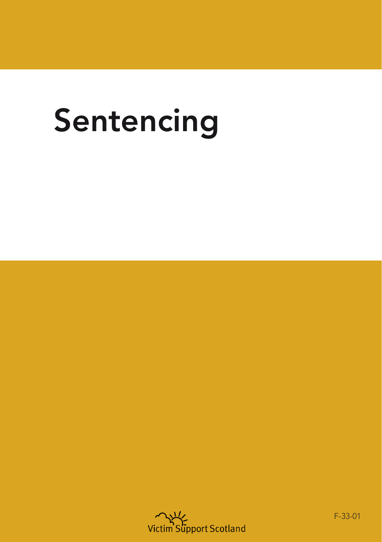# Sentencing



F-33-01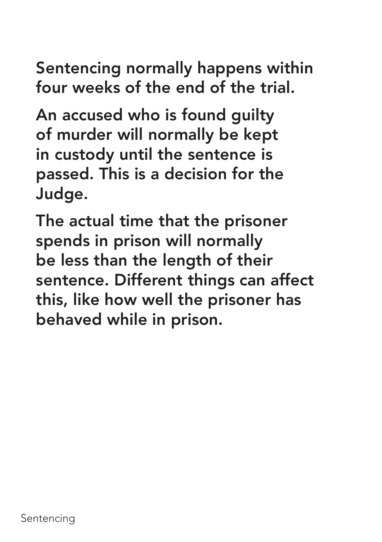Sentencing normally happens within four weeks of the end of the trial.

An accused who is found guilty of murder will normally be kept in custody until the sentence is passed. This is a decision for the Judge.

The actual time that the prisoner spends in prison will normally be less than the length of their sentence. Different things can affect this, like how well the prisoner has behaved while in prison.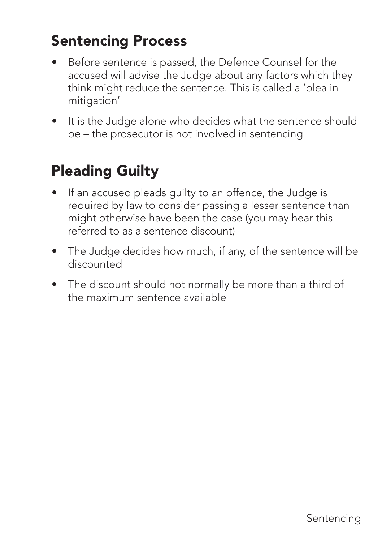#### Sentencing Process

- Before sentence is passed, the Defence Counsel for the accused will advise the Judge about any factors which they think might reduce the sentence. This is called a 'plea in mitigation'
- It is the Judge alone who decides what the sentence should be – the prosecutor is not involved in sentencing

#### Pleading Guilty

- If an accused pleads guilty to an offence, the Judge is required by law to consider passing a lesser sentence than might otherwise have been the case (you may hear this referred to as a sentence discount)
- The Judge decides how much, if any, of the sentence will be discounted
- The discount should not normally be more than a third of the maximum sentence available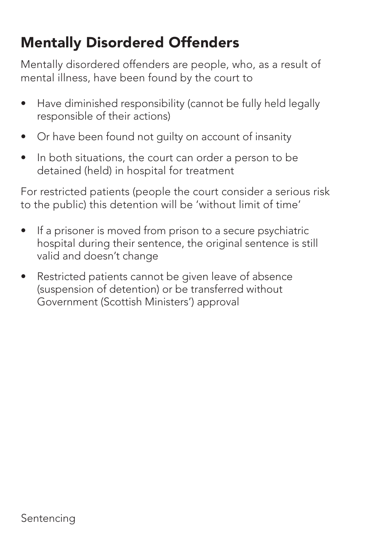# Mentally Disordered Offenders

Mentally disordered offenders are people, who, as a result of mental illness, have been found by the court to

- Have diminished responsibility (cannot be fully held legally responsible of their actions)
- Or have been found not guilty on account of insanity
- In both situations, the court can order a person to be detained (held) in hospital for treatment

For restricted patients (people the court consider a serious risk to the public) this detention will be 'without limit of time'

- If a prisoner is moved from prison to a secure psychiatric hospital during their sentence, the original sentence is still valid and doesn't change
- Restricted patients cannot be given leave of absence (suspension of detention) or be transferred without Government (Scottish Ministers') approval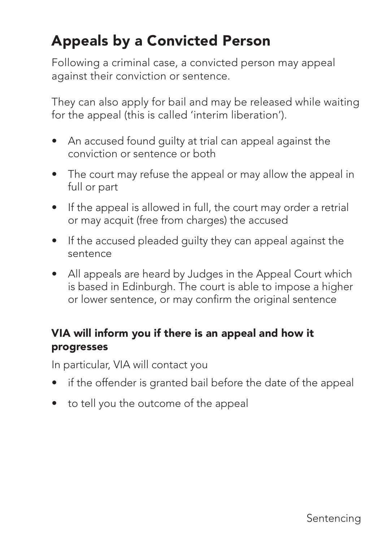# Appeals by a Convicted Person

Following a criminal case, a convicted person may appeal against their conviction or sentence.

They can also apply for bail and may be released while waiting for the appeal (this is called 'interim liberation').

- An accused found guilty at trial can appeal against the conviction or sentence or both
- The court may refuse the appeal or may allow the appeal in full or part
- If the appeal is allowed in full, the court may order a retrial or may acquit (free from charges) the accused
- If the accused pleaded guilty they can appeal against the sentence
- All appeals are heard by Judges in the Appeal Court which is based in Edinburgh. The court is able to impose a higher or lower sentence, or may confirm the original sentence

#### VIA will inform you if there is an appeal and how it progresses

In particular, VIA will contact you

- if the offender is granted bail before the date of the appeal
- to tell you the outcome of the appeal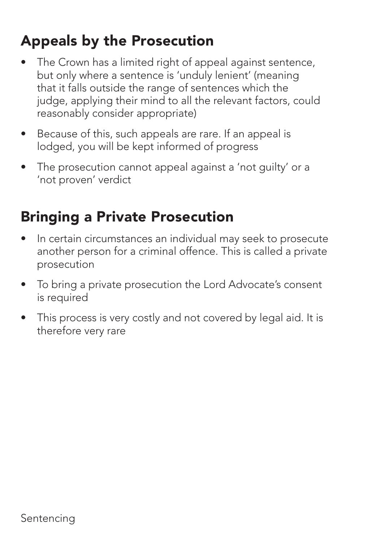#### Appeals by the Prosecution

- The Crown has a limited right of appeal against sentence, but only where a sentence is 'unduly lenient' (meaning that it falls outside the range of sentences which the judge, applying their mind to all the relevant factors, could reasonably consider appropriate)
- Because of this, such appeals are rare. If an appeal is lodged, you will be kept informed of progress
- The prosecution cannot appeal against a 'not guilty' or a 'not proven' verdict

# Bringing a Private Prosecution

- In certain circumstances an individual may seek to prosecute another person for a criminal offence. This is called a private prosecution
- To bring a private prosecution the Lord Advocate's consent is required
- This process is very costly and not covered by legal aid. It is therefore very rare